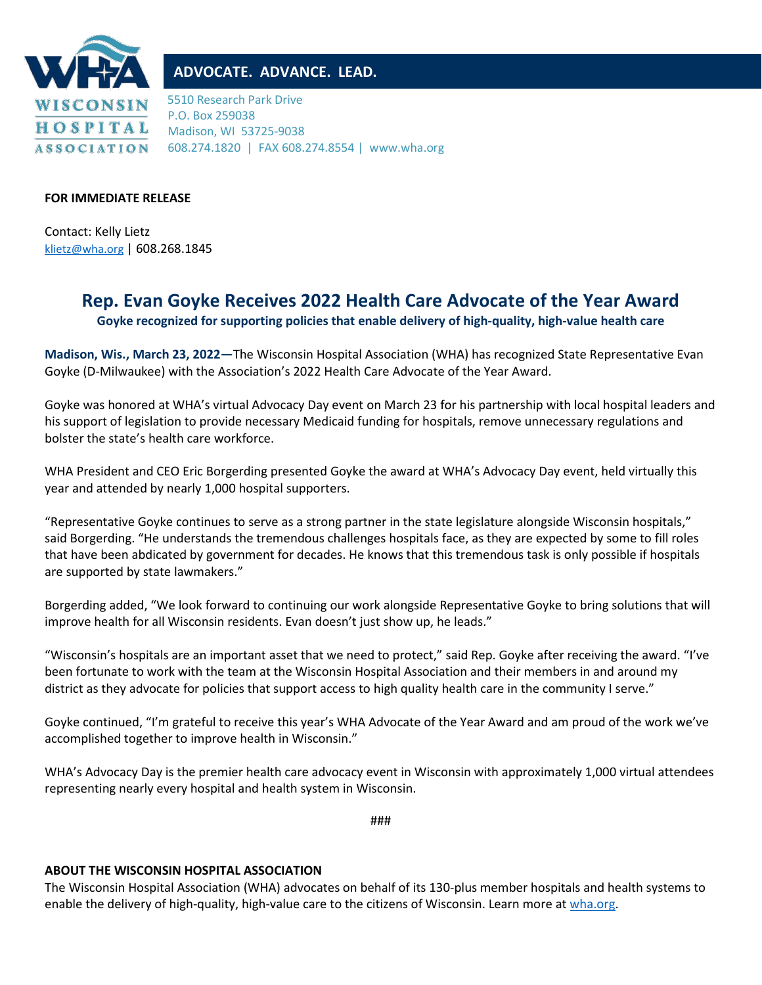

## **ADVOCATE. ADVANCE. LEAD.**

5510 Research Park Drive P.O. Box 259038 Madison, WI 53725-9038 608.274.1820 | FAX 608.274.8554 | www.wha.org

## **FOR IMMEDIATE RELEASE**

Contact: Kelly Lietz [klietz@wha.org](mailto:klietz@wha.org) | 608.268.1845

## **Rep. Evan Goyke Receives 2022 Health Care Advocate of the Year Award**

**Goyke recognized for supporting policies that enable delivery of high-quality, high-value health care**

**Madison, Wis., March 23, 2022—**The Wisconsin Hospital Association (WHA) has recognized State Representative Evan Goyke (D-Milwaukee) with the Association's 2022 Health Care Advocate of the Year Award.

Goyke was honored at WHA's virtual Advocacy Day event on March 23 for his partnership with local hospital leaders and his support of legislation to provide necessary Medicaid funding for hospitals, remove unnecessary regulations and bolster the state's health care workforce.

WHA President and CEO Eric Borgerding presented Goyke the award at WHA's Advocacy Day event, held virtually this year and attended by nearly 1,000 hospital supporters.

"Representative Goyke continues to serve as a strong partner in the state legislature alongside Wisconsin hospitals," said Borgerding. "He understands the tremendous challenges hospitals face, as they are expected by some to fill roles that have been abdicated by government for decades. He knows that this tremendous task is only possible if hospitals are supported by state lawmakers."

Borgerding added, "We look forward to continuing our work alongside Representative Goyke to bring solutions that will improve health for all Wisconsin residents. Evan doesn't just show up, he leads."

"Wisconsin's hospitals are an important asset that we need to protect," said Rep. Goyke after receiving the award. "I've been fortunate to work with the team at the Wisconsin Hospital Association and their members in and around my district as they advocate for policies that support access to high quality health care in the community I serve."

Goyke continued, "I'm grateful to receive this year's WHA Advocate of the Year Award and am proud of the work we've accomplished together to improve health in Wisconsin."

WHA's Advocacy Day is the premier health care advocacy event in Wisconsin with approximately 1,000 virtual attendees representing nearly every hospital and health system in Wisconsin.

###

## **ABOUT THE WISCONSIN HOSPITAL ASSOCIATION**

The Wisconsin Hospital Association (WHA) advocates on behalf of its 130-plus member hospitals and health systems to enable the delivery of high-quality, high-value care to the citizens of Wisconsin. Learn more at [wha.org.](http://www.wha.org/)